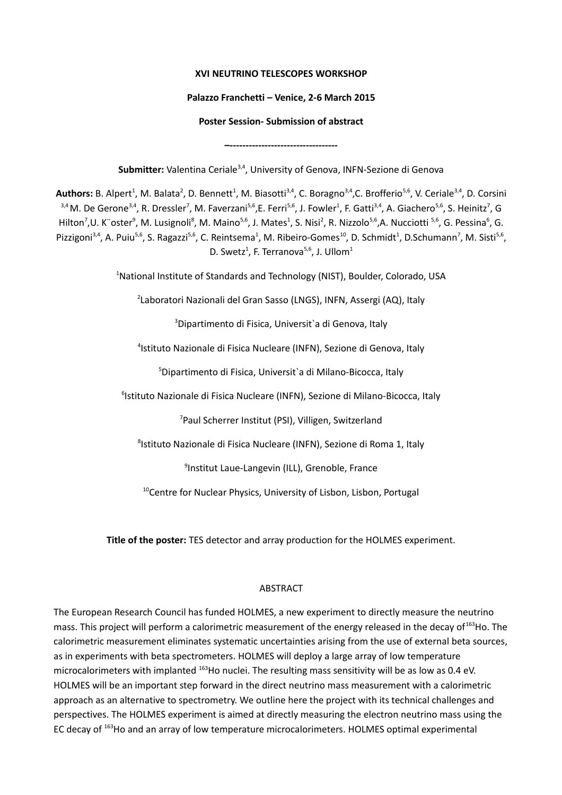## **XVI NEUTRINO TELESCOPES WORKSHOP**

# **Palazzo Franchetti – Venice, 2-6 March 2015**

## **Poster Session- Submission of abstract**

**–----------------------------------**

Submitter: Valentina Ceriale<sup>3,4</sup>, University of Genova, INFN-Sezione di Genova

Authors: B. Alpert<sup>1</sup>, M. Balata<sup>2</sup>, D. Bennett<sup>1</sup>, M. Biasotti<sup>3,4</sup>, C. Boragno<sup>3,4</sup>,C. Brofferio<sup>5,6</sup>, V. Ceriale<sup>3,4</sup>, D. Corsini <sup>3,4</sup> M. De Gerone<sup>3,4</sup>, R. Dressler<sup>7</sup>, M. Faverzani<sup>5,6</sup>, E. Ferri<sup>5,6</sup>, J. Fowler<sup>1</sup>, F. Gatti<sup>3,4</sup>, A. Giachero<sup>5,6</sup>, S. Heinitz<sup>7</sup>, G Hilton<sup>7</sup>,U. K¨oster<sup>9</sup>, M. Lusignoli<sup>8</sup>, M. Maino<sup>5,6</sup>, J. Mates<sup>1</sup>, S. Nisi<sup>2</sup>, R. Nizzolo<sup>5,6</sup>,A. Nucciotti <sup>5,6</sup>, G. Pessina<sup>6</sup>, G. Pizzigoni<sup>3,4</sup>, A. Puiu<sup>5,6</sup>, S. Ragazzi<sup>5,6</sup>, C. Reintsema<sup>1</sup>, M. Ribeiro-Gomes<sup>10</sup>, D. Schmidt<sup>1</sup>, D.Schumann<sup>7</sup>, M. Sisti<sup>5,6</sup>, D. Swetz<sup>1</sup>, F. Terranova<sup>5,6</sup>, J. Ullom<sup>1</sup>

<sup>1</sup>National Institute of Standards and Technology (NIST), Boulder, Colorado, USA

<sup>2</sup>Laboratori Nazionali del Gran Sasso (LNGS), INFN, Assergi (AQ), Italy

<sup>3</sup>Dipartimento di Fisica, Universit'a di Genova, Italy

4 Istituto Nazionale di Fisica Nucleare (INFN), Sezione di Genova, Italy

<sup>5</sup>Dipartimento di Fisica, Universit`a di Milano-Bicocca, Italy

<sup>6</sup>Istituto Nazionale di Fisica Nucleare (INFN), Sezione di Milano-Bicocca, Italy

<sup>7</sup>Paul Scherrer Institut (PSI), Villigen, Switzerland

<sup>8</sup>Istituto Nazionale di Fisica Nucleare (INFN), Sezione di Roma 1, Italy

<sup>9</sup>Institut Laue-Langevin (ILL), Grenoble, France

<sup>10</sup>Centre for Nuclear Physics, University of Lisbon, Lisbon, Portugal

**Title of the poster:** TES detector and array production for the HOLMES experiment.

# ABSTRACT

The European Research Council has funded HOLMES, a new experiment to directly measure the neutrino mass. This project will perform a calorimetric measurement of the energy released in the decay of<sup>163</sup>Ho. The calorimetric measurement eliminates systematic uncertainties arising from the use of external beta sources, as in experiments with beta spectrometers. HOLMES will deploy a large array of low temperature microcalorimeters with implanted <sup>163</sup>Ho nuclei. The resulting mass sensitivity will be as low as 0.4 eV. HOLMES will be an important step forward in the direct neutrino mass measurement with a calorimetric approach as an alternative to spectrometry. We outline here the project with its technical challenges and perspectives. The HOLMES experiment is aimed at directly measuring the electron neutrino mass using the EC decay of 163Ho and an array of low temperature microcalorimeters. HOLMES optimal experimental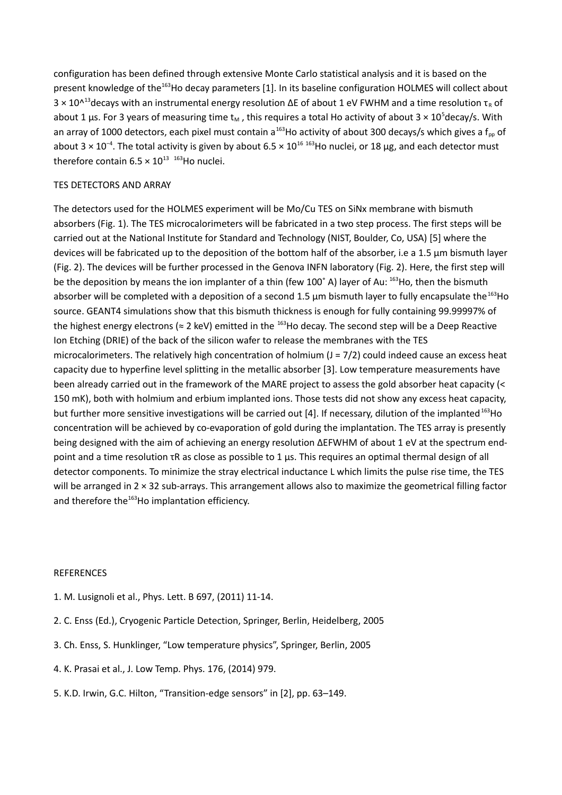configuration has been defined through extensive Monte Carlo statistical analysis and it is based on the present knowledge of the<sup>163</sup>Ho decay parameters [1]. In its baseline configuration HOLMES will collect about 3 × 10^<sup>13</sup>decays with an instrumental energy resolution ΔE of about 1 eV FWHM and a time resolution τ<sub>R</sub> of about 1 µs. For 3 years of measuring time  $t_M$ , this requires a total Ho activity of about 3  $\times$  10<sup>5</sup>decay/s. With an array of 1000 detectors, each pixel must contain a<sup>163</sup>Ho activity of about 300 decays/s which gives a f<sub>pp</sub> of about 3 × 10<sup>-4</sup>. The total activity is given by about 6.5 × 10<sup>16 163</sup>Ho nuclei, or 18 µg, and each detector must therefore contain  $6.5 \times 10^{13}$  163Ho nuclei.

# TES DETECTORS AND ARRAY

The detectors used for the HOLMES experiment will be Mo/Cu TES on SiNx membrane with bismuth absorbers (Fig. 1). The TES microcalorimeters will be fabricated in a two step process. The first steps will be carried out at the National Institute for Standard and Technology (NIST, Boulder, Co, USA) [5] where the devices will be fabricated up to the deposition of the bottom half of the absorber, i.e a 1.5 µm bismuth layer (Fig. 2). The devices will be further processed in the Genova INFN laboratory (Fig. 2). Here, the first step will be the deposition by means the ion implanter of a thin (few  $100^{\circ}$  A) layer of Au:  $^{163}$ Ho, then the bismuth absorber will be completed with a deposition of a second 1.5  $\mu$ m bismuth layer to fully encapsulate the<sup>163</sup>Ho source. GEANT4 simulations show that this bismuth thickness is enough for fully containing 99.99997% of the highest energy electrons ( $\approx$  2 keV) emitted in the <sup>163</sup>Ho decay. The second step will be a Deep Reactive Ion Etching (DRIE) of the back of the silicon wafer to release the membranes with the TES microcalorimeters. The relatively high concentration of holmium  $(J = 7/2)$  could indeed cause an excess heat capacity due to hyperfine level splitting in the metallic absorber [3]. Low temperature measurements have been already carried out in the framework of the MARE project to assess the gold absorber heat capacity (< 150 mK), both with holmium and erbium implanted ions. Those tests did not show any excess heat capacity, but further more sensitive investigations will be carried out [4]. If necessary, dilution of the implanted<sup>163</sup>Ho concentration will be achieved by co-evaporation of gold during the implantation. The TES array is presently being designed with the aim of achieving an energy resolution ∆EFWHM of about 1 eV at the spectrum endpoint and a time resolution τR as close as possible to 1 µs. This requires an optimal thermal design of all detector components. To minimize the stray electrical inductance L which limits the pulse rise time, the TES will be arranged in 2 × 32 sub-arrays. This arrangement allows also to maximize the geometrical filling factor and therefore the<sup>163</sup>Ho implantation efficiency.

#### **REFERENCES**

- 1. M. Lusignoli et al., Phys. Lett. B 697, (2011) 11-14.
- 2. C. Enss (Ed.), Cryogenic Particle Detection, Springer, Berlin, Heidelberg, 2005
- 3. Ch. Enss, S. Hunklinger, "Low temperature physics", Springer, Berlin, 2005
- 4. K. Prasai et al., J. Low Temp. Phys. 176, (2014) 979.
- 5. K.D. Irwin, G.C. Hilton, "Transition-edge sensors" in [2], pp. 63–149.